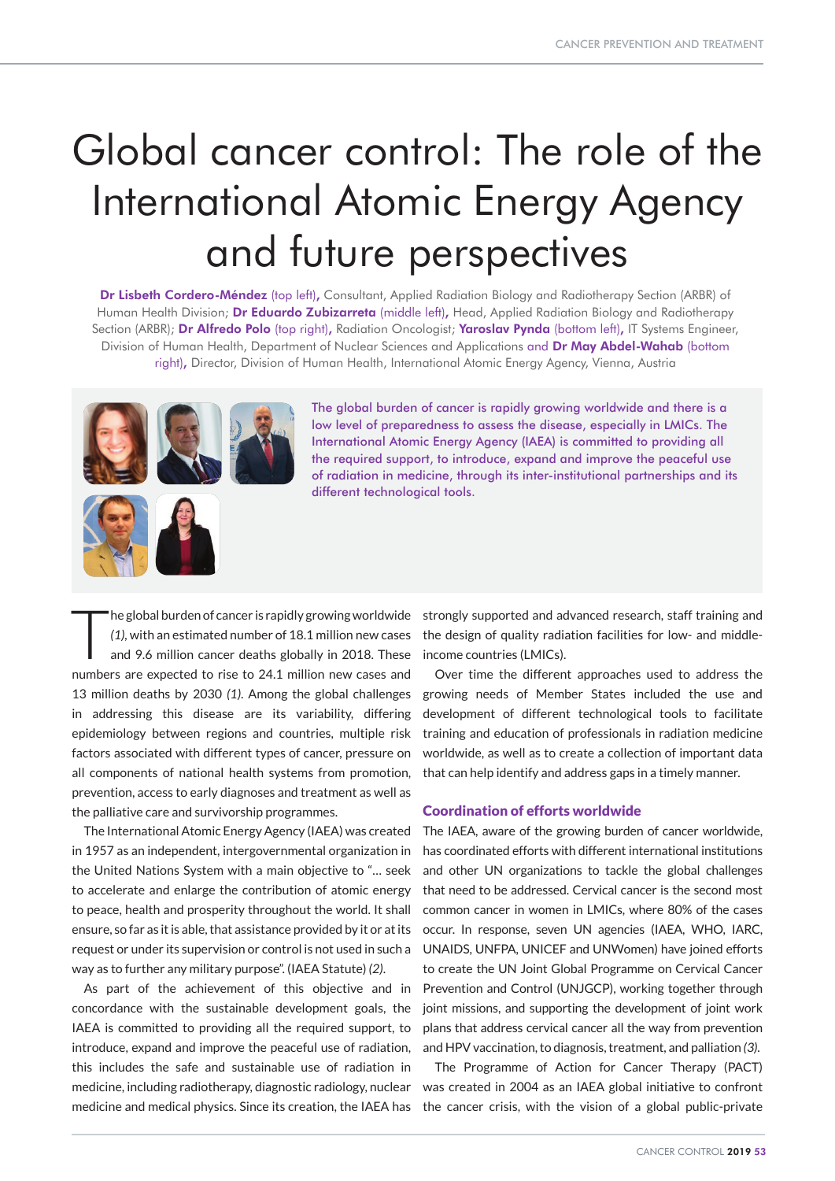# Global cancer control: The role of the International Atomic Energy Agency and future perspectives

Dr Lisbeth Cordero-Méndez (top left), Consultant, Applied Radiation Biology and Radiotherapy Section (ARBR) of Human Health Division; Dr Eduardo Zubizarreta (middle left), Head, Applied Radiation Biology and Radiotherapy Section (ARBR); Dr Alfredo Polo (top right), Radiation Oncologist; Yaroslav Pynda (bottom left), IT Systems Engineer, Division of Human Health, Department of Nuclear Sciences and Applications and Dr May Abdel-Wahab (bottom right), Director, Division of Human Health, International Atomic Energy Agency, Vienna, Austria



The global burden of cancer is rapidly growing worldwide and there is a low level of preparedness to assess the disease, especially in LMICs. The International Atomic Energy Agency (IAEA) is committed to providing all the required support, to introduce, expand and improve the peaceful use of radiation in medicine, through its inter-institutional partnerships and its different technological tools.

The global burden of cancer is rapidly growing worldwide<br>
(1), with an estimated number of 18.1 million new cases<br>
and 9.6 million cancer deaths globally in 2018. These *(1),* with an estimated number of 18.1 million new cases and 9.6 million cancer deaths globally in 2018. These numbers are expected to rise to 24.1 million new cases and 13 million deaths by 2030 *(1)*. Among the global challenges in addressing this disease are its variability, differing epidemiology between regions and countries, multiple risk factors associated with different types of cancer, pressure on all components of national health systems from promotion, prevention, access to early diagnoses and treatment as well as the palliative care and survivorship programmes.

The International Atomic Energy Agency (IAEA) was created in 1957 as an independent, intergovernmental organization in the United Nations System with a main objective to "… seek to accelerate and enlarge the contribution of atomic energy to peace, health and prosperity throughout the world. It shall ensure, so far as it is able, that assistance provided by it or at its request or under its supervision or control is not used in such a way as to further any military purpose". (IAEA Statute) *(2)*.

As part of the achievement of this objective and in concordance with the sustainable development goals, the IAEA is committed to providing all the required support, to introduce, expand and improve the peaceful use of radiation, this includes the safe and sustainable use of radiation in medicine, including radiotherapy, diagnostic radiology, nuclear medicine and medical physics. Since its creation, the IAEA has strongly supported and advanced research, staff training and the design of quality radiation facilities for low- and middleincome countries (LMICs).

Over time the different approaches used to address the growing needs of Member States included the use and development of different technological tools to facilitate training and education of professionals in radiation medicine worldwide, as well as to create a collection of important data that can help identify and address gaps in a timely manner.

# Coordination of efforts worldwide

The IAEA, aware of the growing burden of cancer worldwide, has coordinated efforts with different international institutions and other UN organizations to tackle the global challenges that need to be addressed. Cervical cancer is the second most common cancer in women in LMICs, where 80% of the cases occur. In response, seven UN agencies (IAEA, WHO, IARC, UNAIDS, UNFPA, UNICEF and UNWomen) have joined efforts to create the UN Joint Global Programme on Cervical Cancer Prevention and Control (UNJGCP), working together through joint missions, and supporting the development of joint work plans that address cervical cancer all the way from prevention and HPV vaccination, to diagnosis, treatment, and palliation *(3)*.

The Programme of Action for Cancer Therapy (PACT) was created in 2004 as an IAEA global initiative to confront the cancer crisis, with the vision of a global public-private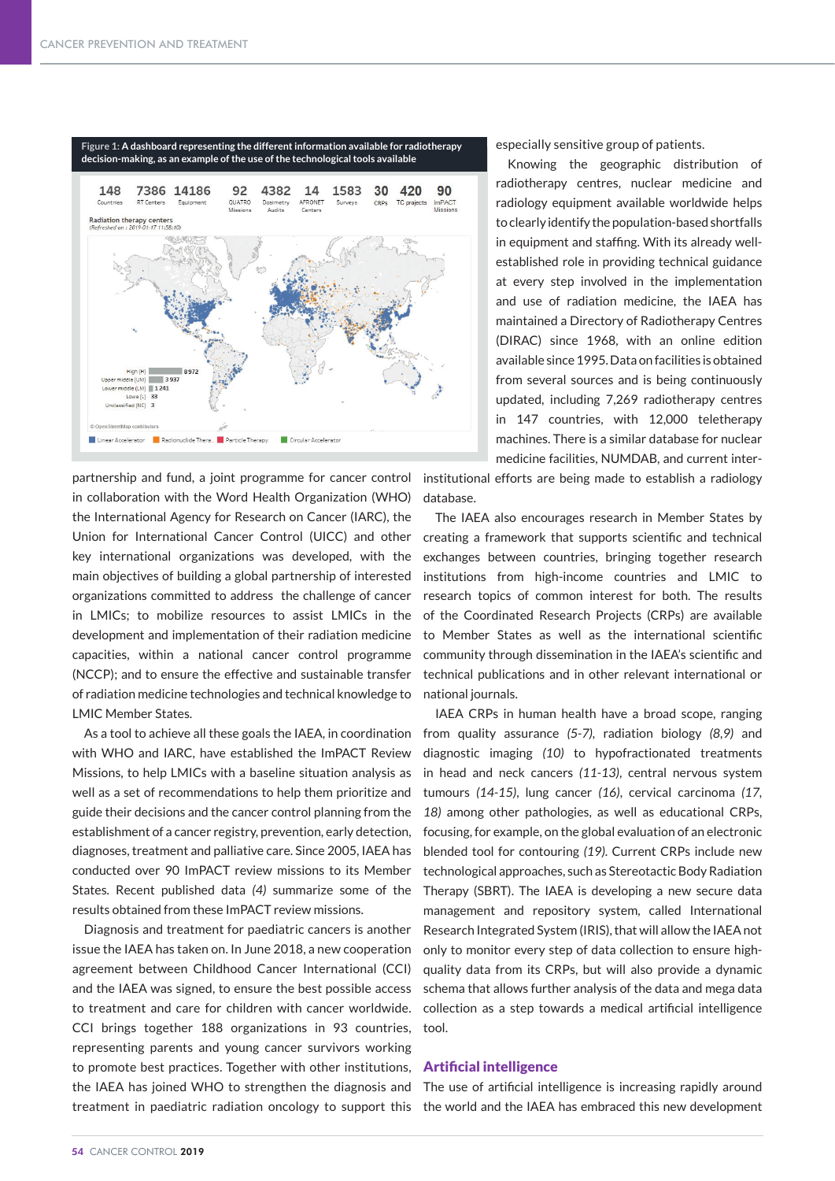

partnership and fund, a joint programme for cancer control in collaboration with the Word Health Organization (WHO) the International Agency for Research on Cancer (IARC), the Union for International Cancer Control (UICC) and other key international organizations was developed, with the main objectives of building a global partnership of interested organizations committed to address the challenge of cancer in LMICs; to mobilize resources to assist LMICs in the development and implementation of their radiation medicine capacities, within a national cancer control programme (NCCP); and to ensure the effective and sustainable transfer of radiation medicine technologies and technical knowledge to LMIC Member States.

As a tool to achieve all these goals the IAEA, in coordination with WHO and IARC, have established the ImPACT Review Missions, to help LMICs with a baseline situation analysis as well as a set of recommendations to help them prioritize and guide their decisions and the cancer control planning from the establishment of a cancer registry, prevention, early detection, diagnoses, treatment and palliative care. Since 2005, IAEA has conducted over 90 ImPACT review missions to its Member States. Recent published data *(4)* summarize some of the results obtained from these ImPACT review missions.

Diagnosis and treatment for paediatric cancers is another issue the IAEA has taken on. In June 2018, a new cooperation agreement between Childhood Cancer International (CCI) and the IAEA was signed, to ensure the best possible access to treatment and care for children with cancer worldwide. CCI brings together 188 organizations in 93 countries, representing parents and young cancer survivors working to promote best practices. Together with other institutions, **Artificial intelligence** the IAEA has joined WHO to strengthen the diagnosis and The use of artificial intelligence is increasing rapidly around treatment in paediatric radiation oncology to support this the world and the IAEA has embraced this new development

especially sensitive group of patients.

Knowing the geographic distribution of radiotherapy centres, nuclear medicine and radiology equipment available worldwide helps to clearly identify the population-based shortfalls in equipment and staffing. With its already wellestablished role in providing technical guidance at every step involved in the implementation and use of radiation medicine, the IAEA has maintained a Directory of Radiotherapy Centres (DIRAC) since 1968, with an online edition available since 1995. Data on facilities is obtained from several sources and is being continuously updated, including 7,269 radiotherapy centres in 147 countries, with 12,000 teletherapy machines. There is a similar database for nuclear medicine facilities, NUMDAB, and current inter-

institutional efforts are being made to establish a radiology database.

The IAEA also encourages research in Member States by creating a framework that supports scientific and technical exchanges between countries, bringing together research institutions from high-income countries and LMIC to research topics of common interest for both. The results of the Coordinated Research Projects (CRPs) are available to Member States as well as the international scientific community through dissemination in the IAEA's scientific and technical publications and in other relevant international or national journals.

IAEA CRPs in human health have a broad scope, ranging from quality assurance *(5-7),* radiation biology *(8,9)* and diagnostic imaging *(10)* to hypofractionated treatments in head and neck cancers *(11-13)*, central nervous system tumours *(14-15)*, lung cancer *(16)*, cervical carcinoma *(17, 18)* among other pathologies, as well as educational CRPs, focusing, for example, on the global evaluation of an electronic blended tool for contouring *(19)*. Current CRPs include new technological approaches, such as Stereotactic Body Radiation Therapy (SBRT). The IAEA is developing a new secure data management and repository system, called International Research Integrated System (IRIS), that will allow the IAEA not only to monitor every step of data collection to ensure highquality data from its CRPs, but will also provide a dynamic schema that allows further analysis of the data and mega data collection as a step towards a medical artificial intelligence tool.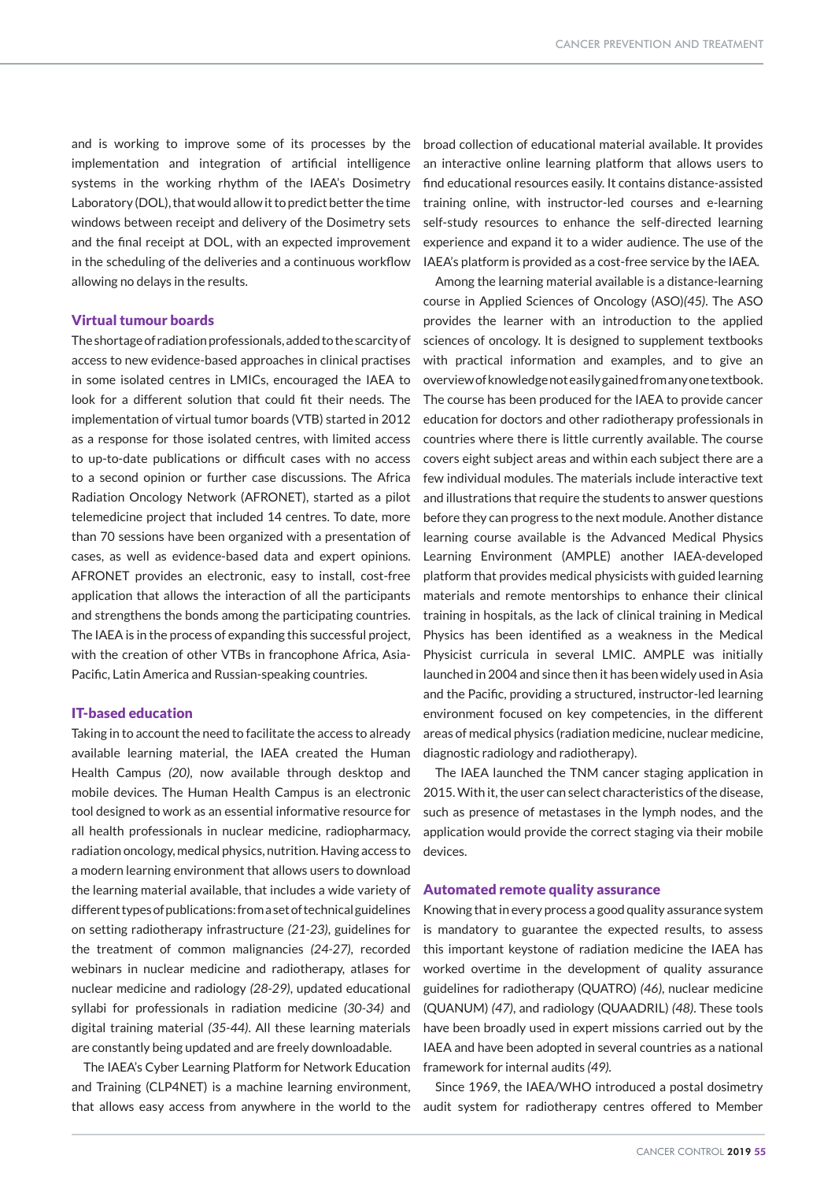and is working to improve some of its processes by the implementation and integration of artificial intelligence systems in the working rhythm of the IAEA's Dosimetry Laboratory (DOL), that would allow it to predict better the time windows between receipt and delivery of the Dosimetry sets and the final receipt at DOL, with an expected improvement in the scheduling of the deliveries and a continuous workflow allowing no delays in the results.

### Virtual tumour boards

The shortage of radiation professionals, added to the scarcity of access to new evidence-based approaches in clinical practises in some isolated centres in LMICs, encouraged the IAEA to look for a different solution that could fit their needs. The implementation of virtual tumor boards (VTB) started in 2012 as a response for those isolated centres, with limited access to up-to-date publications or difficult cases with no access to a second opinion or further case discussions. The Africa Radiation Oncology Network (AFRONET), started as a pilot telemedicine project that included 14 centres. To date, more than 70 sessions have been organized with a presentation of cases, as well as evidence-based data and expert opinions. AFRONET provides an electronic, easy to install, cost-free application that allows the interaction of all the participants and strengthens the bonds among the participating countries. The IAEA is in the process of expanding this successful project, with the creation of other VTBs in francophone Africa, Asia-Pacific, Latin America and Russian-speaking countries.

## IT-based education

Taking in to account the need to facilitate the access to already available learning material, the IAEA created the Human Health Campus *(20)*, now available through desktop and mobile devices. The Human Health Campus is an electronic tool designed to work as an essential informative resource for all health professionals in nuclear medicine, radiopharmacy, radiation oncology, medical physics, nutrition. Having access to a modern learning environment that allows users to download the learning material available, that includes a wide variety of different types of publications: from a set of technical guidelines on setting radiotherapy infrastructure *(21-23)*, guidelines for the treatment of common malignancies *(24-27)*, recorded webinars in nuclear medicine and radiotherapy, atlases for nuclear medicine and radiology *(28-29)*, updated educational syllabi for professionals in radiation medicine *(30-34)* and digital training material *(35-44)*. All these learning materials are constantly being updated and are freely downloadable.

The IAEA's Cyber Learning Platform for Network Education and Training (CLP4NET) is a machine learning environment, that allows easy access from anywhere in the world to the audit system for radiotherapy centres offered to Member

broad collection of educational material available. It provides an interactive online learning platform that allows users to find educational resources easily. It contains distance-assisted training online, with instructor-led courses and e-learning self-study resources to enhance the self-directed learning experience and expand it to a wider audience. The use of the IAEA's platform is provided as a cost-free service by the IAEA.

Among the learning material available is a distance-learning course in Applied Sciences of Oncology (ASO)*(45)*. The ASO provides the learner with an introduction to the applied sciences of oncology. It is designed to supplement textbooks with practical information and examples, and to give an overview of knowledge not easily gained from any one textbook. The course has been produced for the IAEA to provide cancer education for doctors and other radiotherapy professionals in countries where there is little currently available. The course covers eight subject areas and within each subject there are a few individual modules. The materials include interactive text and illustrations that require the students to answer questions before they can progress to the next module. Another distance learning course available is the Advanced Medical Physics Learning Environment (AMPLE) another IAEA-developed platform that provides medical physicists with guided learning materials and remote mentorships to enhance their clinical training in hospitals, as the lack of clinical training in Medical Physics has been identified as a weakness in the Medical Physicist curricula in several LMIC. AMPLE was initially launched in 2004 and since then it has been widely used in Asia and the Pacific, providing a structured, instructor-led learning environment focused on key competencies, in the different areas of medical physics (radiation medicine, nuclear medicine, diagnostic radiology and radiotherapy).

The IAEA launched the TNM cancer staging application in 2015. With it, the user can select characteristics of the disease, such as presence of metastases in the lymph nodes, and the application would provide the correct staging via their mobile devices.

#### Automated remote quality assurance

Knowing that in every process a good quality assurance system is mandatory to guarantee the expected results, to assess this important keystone of radiation medicine the IAEA has worked overtime in the development of quality assurance guidelines for radiotherapy (QUATRO) *(46)*, nuclear medicine (QUANUM) *(47)*, and radiology (QUAADRIL) *(48)*. These tools have been broadly used in expert missions carried out by the IAEA and have been adopted in several countries as a national framework for internal audits *(49).*

Since 1969, the IAEA/WHO introduced a postal dosimetry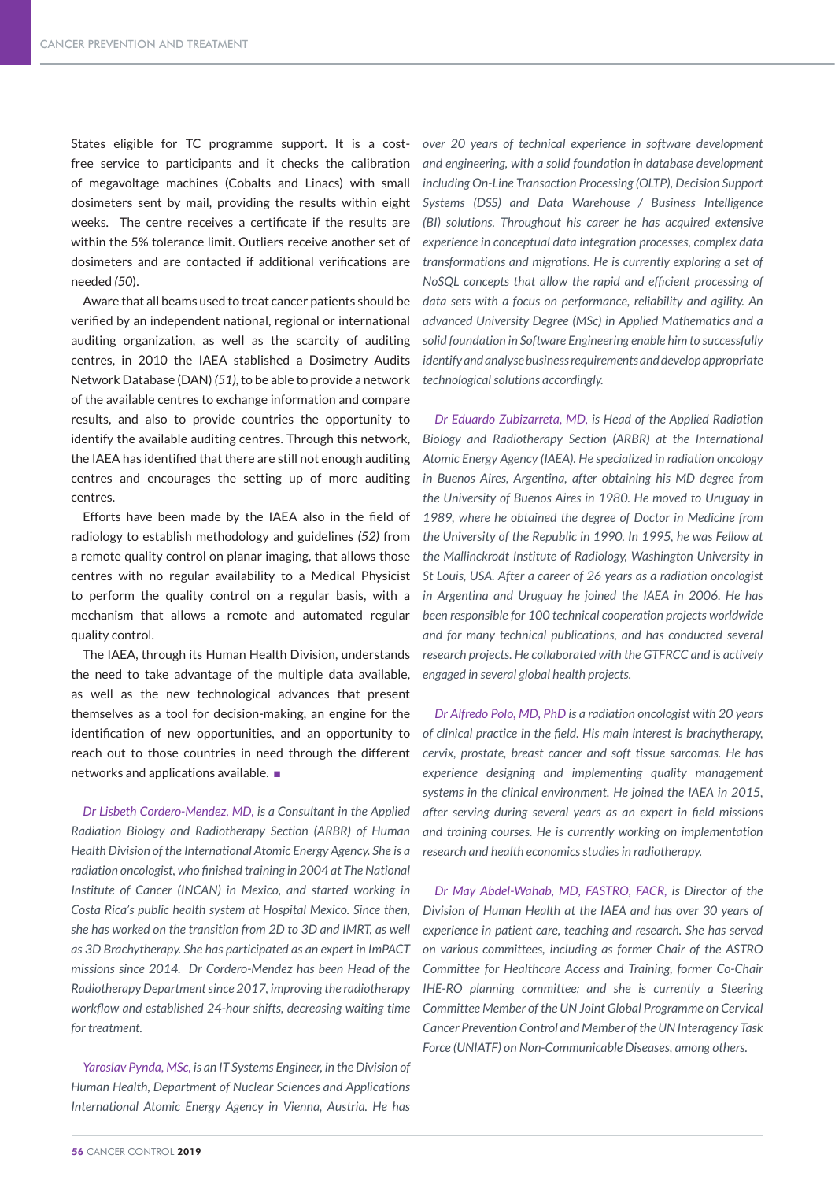States eligible for TC programme support. It is a costfree service to participants and it checks the calibration of megavoltage machines (Cobalts and Linacs) with small dosimeters sent by mail, providing the results within eight weeks. The centre receives a certificate if the results are within the 5% tolerance limit. Outliers receive another set of dosimeters and are contacted if additional verifications are needed *(50*).

Aware that all beams used to treat cancer patients should be verified by an independent national, regional or international auditing organization, as well as the scarcity of auditing centres, in 2010 the IAEA stablished a Dosimetry Audits Network Database (DAN) *(51)*, to be able to provide a network of the available centres to exchange information and compare results, and also to provide countries the opportunity to identify the available auditing centres. Through this network, the IAEA has identified that there are still not enough auditing centres and encourages the setting up of more auditing centres.

Efforts have been made by the IAEA also in the field of radiology to establish methodology and guidelines *(52)* from a remote quality control on planar imaging, that allows those centres with no regular availability to a Medical Physicist to perform the quality control on a regular basis, with a mechanism that allows a remote and automated regular quality control.

The IAEA, through its Human Health Division, understands the need to take advantage of the multiple data available, as well as the new technological advances that present themselves as a tool for decision-making, an engine for the identification of new opportunities, and an opportunity to reach out to those countries in need through the different networks and applications available.  $\square$ 

*Dr Lisbeth Cordero-Mendez, MD, is a Consultant in the Applied Radiation Biology and Radiotherapy Section (ARBR) of Human Health Division of the International Atomic Energy Agency. She is a radiation oncologist, who finished training in 2004 at The National Institute of Cancer (INCAN) in Mexico, and started working in Costa Rica's public health system at Hospital Mexico. Since then, she has worked on the transition from 2D to 3D and IMRT, as well as 3D Brachytherapy. She has participated as an expert in ImPACT missions since 2014. Dr Cordero-Mendez has been Head of the Radiotherapy Department since 2017, improving the radiotherapy workflow and established 24-hour shifts, decreasing waiting time for treatment.* 

*Yaroslav Pynda, MSc, is an IT Systems Engineer, in the Division of Human Health, Department of Nuclear Sciences and Applications International Atomic Energy Agency in Vienna, Austria. He has* 

*over 20 years of technical experience in software development and engineering, with a solid foundation in database development including On-Line Transaction Processing (OLTP), Decision Support Systems (DSS) and Data Warehouse / Business Intelligence (BI) solutions. Throughout his career he has acquired extensive experience in conceptual data integration processes, complex data transformations and migrations. He is currently exploring a set of NoSQL concepts that allow the rapid and efficient processing of data sets with a focus on performance, reliability and agility. An advanced University Degree (MSc) in Applied Mathematics and a solid foundation in Software Engineering enable him to successfully identify and analyse business requirements and develop appropriate technological solutions accordingly.* 

*Dr Eduardo Zubizarreta, MD, is Head of the Applied Radiation Biology and Radiotherapy Section (ARBR) at the International Atomic Energy Agency (IAEA). He specialized in radiation oncology in Buenos Aires, Argentina, after obtaining his MD degree from the University of Buenos Aires in 1980. He moved to Uruguay in 1989, where he obtained the degree of Doctor in Medicine from the University of the Republic in 1990. In 1995, he was Fellow at the Mallinckrodt Institute of Radiology, Washington University in St Louis, USA. After a career of 26 years as a radiation oncologist in Argentina and Uruguay he joined the IAEA in 2006. He has been responsible for 100 technical cooperation projects worldwide and for many technical publications, and has conducted several research projects. He collaborated with the GTFRCC and is actively engaged in several global health projects.* 

*Dr Alfredo Polo, MD, PhD is a radiation oncologist with 20 years of clinical practice in the field. His main interest is brachytherapy, cervix, prostate, breast cancer and soft tissue sarcomas. He has experience designing and implementing quality management systems in the clinical environment. He joined the IAEA in 2015, after serving during several years as an expert in field missions and training courses. He is currently working on implementation research and health economics studies in radiotherapy.*

*Dr May Abdel-Wahab, MD, FASTRO, FACR, is Director of the Division of Human Health at the IAEA and has over 30 years of experience in patient care, teaching and research. She has served on various committees, including as former Chair of the ASTRO Committee for Healthcare Access and Training, former Co-Chair IHE-RO planning committee; and she is currently a Steering Committee Member of the UN Joint Global Programme on Cervical Cancer Prevention Control and Member of the UN Interagency Task Force (UNIATF) on Non-Communicable Diseases, among others.*